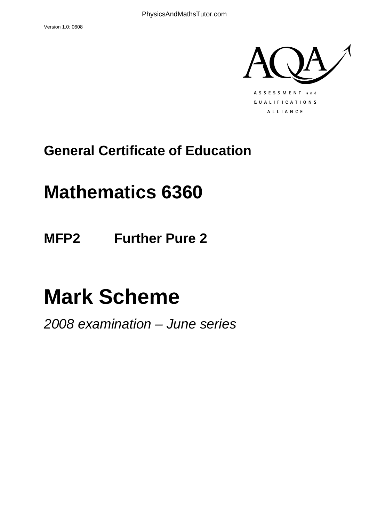

## **General Certificate of Education**

## **Mathematics 6360**

## **MFP2 Further Pure 2**

# **Mark Scheme**

*2008 examination – June series*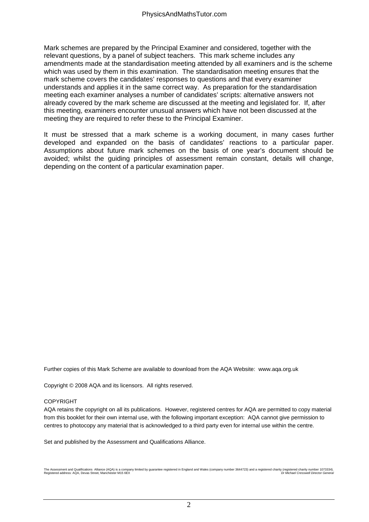Mark schemes are prepared by the Principal Examiner and considered, together with the relevant questions, by a panel of subject teachers. This mark scheme includes any amendments made at the standardisation meeting attended by all examiners and is the scheme which was used by them in this examination. The standardisation meeting ensures that the mark scheme covers the candidates' responses to questions and that every examiner understands and applies it in the same correct way. As preparation for the standardisation meeting each examiner analyses a number of candidates' scripts: alternative answers not already covered by the mark scheme are discussed at the meeting and legislated for. If, after this meeting, examiners encounter unusual answers which have not been discussed at the meeting they are required to refer these to the Principal Examiner.

It must be stressed that a mark scheme is a working document, in many cases further developed and expanded on the basis of candidates' reactions to a particular paper. Assumptions about future mark schemes on the basis of one year's document should be avoided; whilst the guiding principles of assessment remain constant, details will change, depending on the content of a particular examination paper.

Further copies of this Mark Scheme are available to download from the AQA Website: www.aqa.org.uk

Copyright © 2008 AQA and its licensors. All rights reserved.

#### COPYRIGHT

AQA retains the copyright on all its publications. However, registered centres for AQA are permitted to copy material from this booklet for their own internal use, with the following important exception: AQA cannot give permission to centres to photocopy any material that is acknowledged to a third party even for internal use within the centre.

Set and published by the Assessment and Qualifications Alliance.

The Assessment and Qualifications Alliance (AQA) is a company limited by guarantee registered in England and Wales (company number 3644723) and a registered charify (registered charity (mether of 201334).<br>Registered addres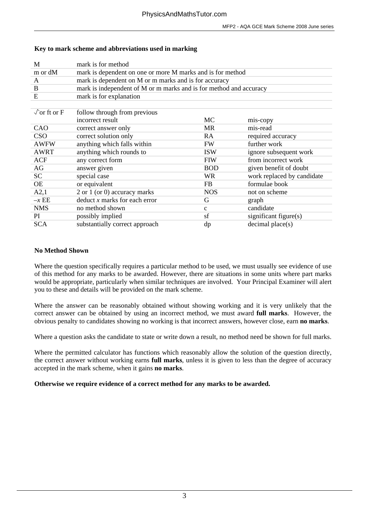#### **Key to mark scheme and abbreviations used in marking**

| M                          | mark is for method                                                 |              |                            |  |  |
|----------------------------|--------------------------------------------------------------------|--------------|----------------------------|--|--|
| m or dM                    | mark is dependent on one or more M marks and is for method         |              |                            |  |  |
| A                          | mark is dependent on M or m marks and is for accuracy              |              |                            |  |  |
| $\bf{B}$                   | mark is independent of M or m marks and is for method and accuracy |              |                            |  |  |
| E                          | mark is for explanation                                            |              |                            |  |  |
|                            |                                                                    |              |                            |  |  |
| $\sqrt{\text{or ft or F}}$ | follow through from previous                                       |              |                            |  |  |
|                            | incorrect result                                                   | MC           | mis-copy                   |  |  |
| CAO                        | correct answer only                                                | <b>MR</b>    | mis-read                   |  |  |
| <b>CSO</b>                 | correct solution only                                              | RA           | required accuracy          |  |  |
| <b>AWFW</b>                | anything which falls within                                        | <b>FW</b>    | further work               |  |  |
| <b>AWRT</b>                | anything which rounds to                                           | <b>ISW</b>   | ignore subsequent work     |  |  |
| <b>ACF</b>                 | any correct form                                                   | <b>FIW</b>   | from incorrect work        |  |  |
| AG                         | answer given                                                       | <b>BOD</b>   | given benefit of doubt     |  |  |
| <b>SC</b>                  | special case                                                       | <b>WR</b>    | work replaced by candidate |  |  |
| <b>OE</b>                  | or equivalent                                                      | <b>FB</b>    | formulae book              |  |  |
| A2,1                       | 2 or 1 (or 0) accuracy marks                                       | <b>NOS</b>   | not on scheme              |  |  |
| $-xEE$                     | $deduct x$ marks for each error                                    | G            | graph                      |  |  |
| <b>NMS</b>                 | no method shown                                                    | $\mathbf{C}$ | candidate                  |  |  |
| PI                         | possibly implied                                                   | sf           | significant figure(s)      |  |  |
| <b>SCA</b>                 | substantially correct approach                                     | dp           | decimal place(s)           |  |  |

#### **No Method Shown**

Where the question specifically requires a particular method to be used, we must usually see evidence of use of this method for any marks to be awarded. However, there are situations in some units where part marks would be appropriate, particularly when similar techniques are involved. Your Principal Examiner will alert you to these and details will be provided on the mark scheme.

Where the answer can be reasonably obtained without showing working and it is very unlikely that the correct answer can be obtained by using an incorrect method, we must award **full marks**. However, the obvious penalty to candidates showing no working is that incorrect answers, however close, earn **no marks**.

Where a question asks the candidate to state or write down a result, no method need be shown for full marks.

Where the permitted calculator has functions which reasonably allow the solution of the question directly, the correct answer without working earns **full marks**, unless it is given to less than the degree of accuracy accepted in the mark scheme, when it gains **no marks**.

#### **Otherwise we require evidence of a correct method for any marks to be awarded.**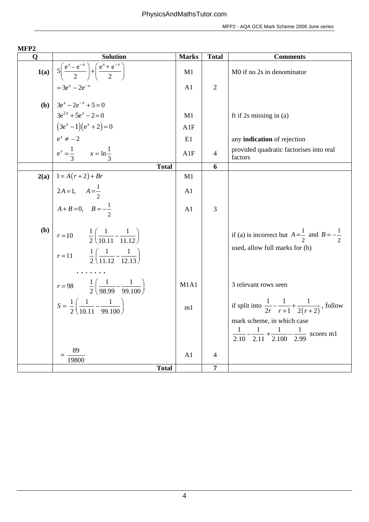| <u>ічіг г 2</u> |                                                                                                                                                  |              |                |                                                                                                              |
|-----------------|--------------------------------------------------------------------------------------------------------------------------------------------------|--------------|----------------|--------------------------------------------------------------------------------------------------------------|
| $\mathbf 0$     | <b>Solution</b>                                                                                                                                  | <b>Marks</b> | <b>Total</b>   | <b>Comments</b>                                                                                              |
|                 | <b>1(a)</b> $5\left(\frac{e^{x}-e^{-x}}{2}\right)+\left(\frac{e^{x}+e^{-x}}{2}\right)$                                                           | M1           |                | M0 if no 2s in denominator                                                                                   |
|                 | $=3e^{x}-2e^{-x}$                                                                                                                                | A1           | $\overline{2}$ |                                                                                                              |
| (b)             | $3e^{x}-2e^{-x}+5=0$                                                                                                                             |              |                |                                                                                                              |
|                 | $3e^{2x} + 5e^{x} - 2 = 0$                                                                                                                       | M1           |                | ft if $2s$ missing in $(a)$                                                                                  |
|                 | $(3e^{x}-1)(e^{x}+2)=0$                                                                                                                          | A1F          |                |                                                                                                              |
|                 | $e^x \neq -2$                                                                                                                                    | E1           |                | any indication of rejection                                                                                  |
|                 | $e^x = \frac{1}{3}$ $x = \ln \frac{1}{3}$                                                                                                        | A1F          | 4              | provided quadratic factorises into real<br>factors                                                           |
|                 | <b>Total</b>                                                                                                                                     |              | 6              |                                                                                                              |
|                 | <b>2(a)</b> $1 = A(r+2) + Br$                                                                                                                    | M1           |                |                                                                                                              |
|                 | $2A=1, \quad A=\frac{1}{2}$                                                                                                                      | A1           |                |                                                                                                              |
|                 | $A+B=0$ , $B=-\frac{1}{2}$                                                                                                                       | A1           | 3              |                                                                                                              |
| (b)             | $r = 10$ $\frac{1}{2} \left( \frac{1}{10.11} - \frac{1}{11.12} \right)$<br>$r=11$ $\frac{1}{2} \left( \frac{1}{11.12} - \frac{1}{12.13} \right)$ |              |                | if (a) is incorrect but $A = \frac{1}{2}$ and $B = -\frac{1}{2}$<br>used, allow full marks for (b)           |
|                 | $r = 98$ $\frac{1}{2} \left( \frac{1}{98.99} - \frac{1}{99.100} \right)$                                                                         | M1A1         |                | 3 relevant rows seen                                                                                         |
|                 | $S = \frac{1}{2} \left( \frac{1}{10.11} - \frac{1}{99.100} \right)$                                                                              | m1           |                | if split into $\frac{1}{2r} - \frac{1}{r+1} + \frac{1}{2(r+2)}$ , follow                                     |
|                 |                                                                                                                                                  |              |                | mark scheme, in which case<br>$\frac{1}{2.10} - \frac{1}{2.11} + \frac{1}{2.100} - \frac{1}{2.99}$ scores m1 |
|                 | 89<br>19800                                                                                                                                      | A1           | 4              |                                                                                                              |
|                 | <b>Total</b>                                                                                                                                     |              | 7              |                                                                                                              |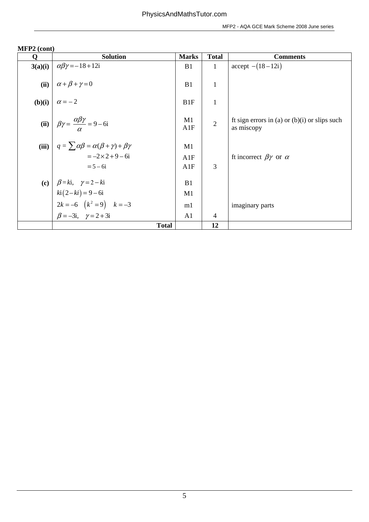| $\cdots$ $\cdots$ $\cdots$<br>0 | <b>Solution</b>                                                   | <b>Marks</b>   | <b>Total</b>   | <b>Comments</b>                                               |
|---------------------------------|-------------------------------------------------------------------|----------------|----------------|---------------------------------------------------------------|
| 3(a)(i)                         | $\alpha\beta\gamma = -18 + 12i$                                   | B1             | $\mathbf{1}$   | $accept - (18 - 12i)$                                         |
| (ii)                            | $\alpha + \beta + \gamma = 0$                                     | B1             | $\mathbf{1}$   |                                                               |
| (b)(i)                          | $\alpha = -2$                                                     | B1F            | $\mathbf{1}$   |                                                               |
|                                 | (ii) $\beta \gamma = \frac{\alpha \beta \gamma}{\alpha} = 9 - 6i$ | M1<br>A1F      | $\overline{2}$ | ft sign errors in (a) or $(b)(i)$ or slips such<br>as miscopy |
| (iii)                           | $  q = \sum \alpha \beta = \alpha(\beta + \gamma) + \beta \gamma$ | M1             |                |                                                               |
|                                 | $=-2 \times 2 + 9 - 6i$                                           | A1F            |                | ft incorrect $\beta \gamma$ or $\alpha$                       |
|                                 | $= 5 - 6i$                                                        | A1F            | 3              |                                                               |
|                                 | (c) $\beta = ki$ , $\gamma = 2 - ki$                              | B1             |                |                                                               |
|                                 | $ki(2-ki) = 9-6i$                                                 | M1             |                |                                                               |
|                                 | $2k = -6$ $(k^2 = 9)$ $k = -3$                                    | m1             |                | imaginary parts                                               |
|                                 | $\beta = -3i$ , $\gamma = 2 + 3i$                                 | A <sub>1</sub> | $\overline{4}$ |                                                               |
|                                 | <b>Total</b>                                                      |                | 12             |                                                               |

**MFP2 (cont)**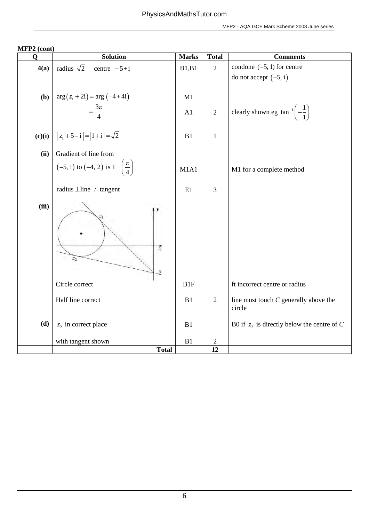| Q      | <b>Solution</b>                                          | <b>Marks</b>    | <b>Total</b>            | <b>Comments</b>                                                |
|--------|----------------------------------------------------------|-----------------|-------------------------|----------------------------------------------------------------|
| 4(a)   | radius $\sqrt{2}$<br>centre $-5+i$                       | B1,B1           | $\overline{2}$          | condone $(-5, 1)$ for centre                                   |
|        |                                                          |                 |                         | do not accept $(-5, i)$                                        |
|        |                                                          |                 |                         |                                                                |
| (b)    | $arg(z_1 + 2i) = arg(-4 + 4i)$                           | M1              |                         |                                                                |
|        | $=\frac{3\pi}{4}$                                        | A1              | $\overline{2}$          | clearly shown eg tan <sup>-1</sup> $\left(-\frac{1}{1}\right)$ |
|        |                                                          |                 |                         |                                                                |
| (c)(i) | $ z_1+5-i = 1+i =\sqrt{2}$                               | B1              | $\mathbf{1}$            |                                                                |
|        |                                                          |                 |                         |                                                                |
| (ii)   | Gradient of line from                                    |                 |                         |                                                                |
|        | $(-5, 1)$ to $(-4, 2)$ is $1 \left(\frac{\pi}{4}\right)$ | M1A1            |                         | M1 for a complete method                                       |
|        |                                                          |                 |                         |                                                                |
|        | radius ⊥line ∴ tangent                                   | E1              | 3                       |                                                                |
| (iii)  | $\overline{x}$<br>z<br>$-2$                              |                 |                         |                                                                |
|        | Circle correct                                           | B <sub>1F</sub> |                         | ft incorrect centre or radius                                  |
|        | Half line correct                                        | B1              | $\mathbf{2}$            | line must touch $C$ generally above the<br>circle              |
| (d)    | $z_2$ in correct place                                   | B1              |                         | B0 if $z_2$ is directly below the centre of C                  |
|        | with tangent shown                                       | B1              | $\overline{\mathbf{c}}$ |                                                                |
|        | <b>Total</b>                                             |                 | 12                      |                                                                |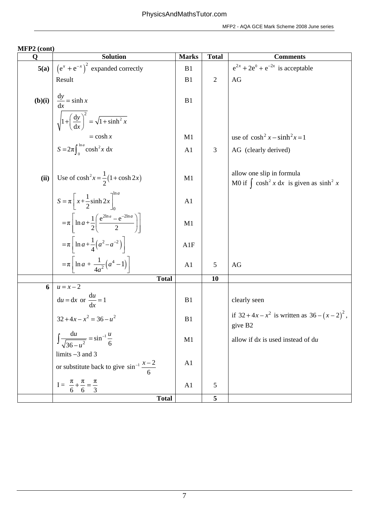| $\cdots$<br>Q | <b>Solution</b>                                                                              | <b>Marks</b>   | <b>Total</b>   | <b>Comments</b>                                                |
|---------------|----------------------------------------------------------------------------------------------|----------------|----------------|----------------------------------------------------------------|
| 5(a)          | $(e^{x} + e^{-x})^{2}$ expanded correctly                                                    | B <sub>1</sub> |                | $e^{2x} + 2e^{0} + e^{-2x}$ is acceptable                      |
|               | Result                                                                                       | B1             | $\overline{2}$ | AG                                                             |
|               |                                                                                              |                |                |                                                                |
| (b)(i)        | $\frac{dy}{dx} = \sinh x$                                                                    | B <sub>1</sub> |                |                                                                |
|               |                                                                                              |                |                |                                                                |
|               | $\int \sqrt{1 + \left(\frac{dy}{dx}\right)^2} = \sqrt{1 + \sinh^2 x}$                        |                |                |                                                                |
|               | $= \cosh x$                                                                                  | M1             |                | use of $\cosh^2 x - \sinh^2 x = 1$                             |
|               | $S = 2\pi \int_0^{\ln a} \cosh^2 x \, dx$                                                    | A1             | 3              | AG (clearly derived)                                           |
|               |                                                                                              |                |                |                                                                |
| (ii)          | Use of $\cosh^2 x = \frac{1}{2}(1 + \cosh 2x)$                                               | M1             |                | allow one slip in formula                                      |
|               |                                                                                              |                |                | M0 if $\int \cosh^2 x \, dx$ is given as $\sinh^2 x$           |
|               | $S = \pi \left[x + \frac{1}{2}\sinh 2x\right]_0^{\pi a}$                                     | A <sub>1</sub> |                |                                                                |
|               |                                                                                              |                |                |                                                                |
|               | $=\pi \left[\ln a + \frac{1}{2} \left( \frac{e^{2 \ln a} - e^{-2 \ln a}}{2} \right) \right]$ | M1             |                |                                                                |
|               | $=\pi \left  \ln a + \frac{1}{4} (a^2 - a^{-2}) \right $                                     | A1F            |                |                                                                |
|               | $= \pi \left[ \ln a + \frac{1}{4a^2} (a^4 - 1) \right]$                                      | A1             | 5              | AG                                                             |
|               | <b>Total</b>                                                                                 |                | 10             |                                                                |
| 6             | $u = x - 2$                                                                                  |                |                |                                                                |
|               | $du = dx$ or $\frac{du}{dx} = 1$                                                             | B1             |                | clearly seen                                                   |
|               | $32+4x-x^2=36-u^2$                                                                           | B1             |                | if $32 + 4x - x^2$ is written as $36 - (x - 2)^2$ ,<br>give B2 |
|               | $\frac{\mathrm{d}u}{\sqrt{36-u^2}} = \sin^{-1}\frac{u}{6}$                                   | M1             |                | allow if $dx$ is used instead of $du$                          |
|               | limits $-3$ and 3                                                                            |                |                |                                                                |
|               | or substitute back to give $\sin^{-1} \frac{x-2}{6}$                                         | A <sub>1</sub> |                |                                                                |
|               | $I = \frac{\pi}{6} + \frac{\pi}{6} = \frac{\pi}{3}$                                          | A <sub>1</sub> | $\mathfrak s$  |                                                                |
|               | <b>Total</b>                                                                                 |                | 5              |                                                                |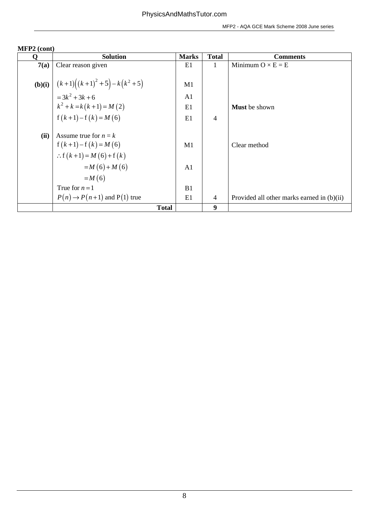| $\cdots$<br>O | <b>Solution</b>                                               | <b>Marks</b>   | <b>Total</b>   | <b>Comments</b>                            |
|---------------|---------------------------------------------------------------|----------------|----------------|--------------------------------------------|
| 7(a)          | Clear reason given                                            | E1             | 1              | Minimum $O \times E = E$                   |
|               |                                                               |                |                |                                            |
| (b)(i)        | $(k+1)((k+1)^{2}+5)-k(k^{2}+5)$<br>= 3k <sup>2</sup> + 3k + 6 | M1             |                |                                            |
|               |                                                               | A <sub>1</sub> |                |                                            |
|               | $k^{2} + k = k(k+1) = M(2)$<br>f(k+1)-f(k)=M(6)               | E1             |                | <b>Must</b> be shown                       |
|               |                                                               | E1             | $\overline{4}$ |                                            |
| (ii)          | Assume true for $n = k$                                       |                |                |                                            |
|               |                                                               | M1             |                | Clear method                               |
|               | f $(k+1) - f(k) = M(6)$<br>: f $(k+1) = M(6) + f(k)$          |                |                |                                            |
|               | $=M(6)+M(6)$                                                  | A <sub>1</sub> |                |                                            |
|               | $=M(6)$                                                       |                |                |                                            |
|               | True for $n=1$                                                | B <sub>1</sub> |                |                                            |
|               | $P(n) \rightarrow P(n+1)$ and P(1) true                       | E1             | 4              | Provided all other marks earned in (b)(ii) |
|               | <b>Total</b>                                                  |                | 9              |                                            |